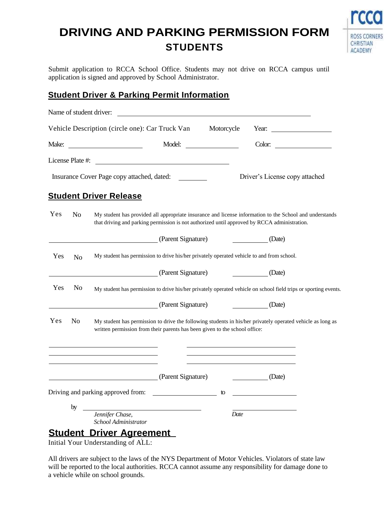## **DRIVING AND PARKING PERMISSION FORM STUDENTS**



Submit application to RCCA School Office. Students may not drive on RCCA campus until application is signed and approved by School Administrator.

## **Student Driver & Parking Permit Information**

|       |                  | Name of student driver:                                                                                                                                                                                 |                    |            |      |                                |                        |
|-------|------------------|---------------------------------------------------------------------------------------------------------------------------------------------------------------------------------------------------------|--------------------|------------|------|--------------------------------|------------------------|
|       |                  | Vehicle Description (circle one): Car Truck Van                                                                                                                                                         |                    | Motorcycle |      |                                | Year: $\qquad \qquad$  |
| Make: |                  | <u> 1999 - Johann Barn, fransk politik (</u>                                                                                                                                                            | Model:             |            |      |                                | Color: $\qquad \qquad$ |
|       | License Plate #: | <u> 1980 - Andrea Station Barbara, amerikan personal (h. 1980).</u>                                                                                                                                     |                    |            |      |                                |                        |
|       |                  | Insurance Cover Page copy attached, dated:                                                                                                                                                              |                    |            |      | Driver's License copy attached |                        |
|       |                  | <b>Student Driver Release</b>                                                                                                                                                                           |                    |            |      |                                |                        |
| Yes   | N <sub>o</sub>   | My student has provided all appropriate insurance and license information to the School and understands<br>that driving and parking permission is not authorized until approved by RCCA administration. |                    |            |      |                                |                        |
|       |                  |                                                                                                                                                                                                         | (Parent Signature) |            |      | (Date)                         |                        |
| Yes   | N <sub>o</sub>   | My student has permission to drive his/her privately operated vehicle to and from school.                                                                                                               |                    |            |      |                                |                        |
|       |                  |                                                                                                                                                                                                         | (Parent Signature) |            |      | (Date)                         |                        |
| Yes   | N <sub>0</sub>   | My student has permission to drive his/her privately operated vehicle on school field trips or sporting events.                                                                                         |                    |            |      |                                |                        |
|       |                  |                                                                                                                                                                                                         | (Parent Signature) |            |      | (Date)                         |                        |
| Yes   | N <sub>0</sub>   | My student has permission to drive the following students in his/her privately operated vehicle as long as<br>written permission from their parents has been given to the school office:                |                    |            |      |                                |                        |
|       |                  |                                                                                                                                                                                                         |                    |            |      |                                |                        |
|       |                  |                                                                                                                                                                                                         | (Parent Signature) |            |      | (Date)                         |                        |
|       |                  | Driving and parking approved from:                                                                                                                                                                      |                    | to         |      |                                |                        |
|       | by               |                                                                                                                                                                                                         |                    |            |      |                                |                        |
|       |                  | Jennifer Chase,<br>School Administrator                                                                                                                                                                 |                    |            | Date |                                |                        |
|       |                  | <b>Student Driver Agreement</b>                                                                                                                                                                         |                    |            |      |                                |                        |

Initial Your Understanding of ALL: **ment**

All drivers are subject to the laws of the NYS Department of Motor Vehicles. Violators of state law will be reported to the local authorities. RCCA cannot assume any responsibility for damage done to a vehicle while on school grounds.